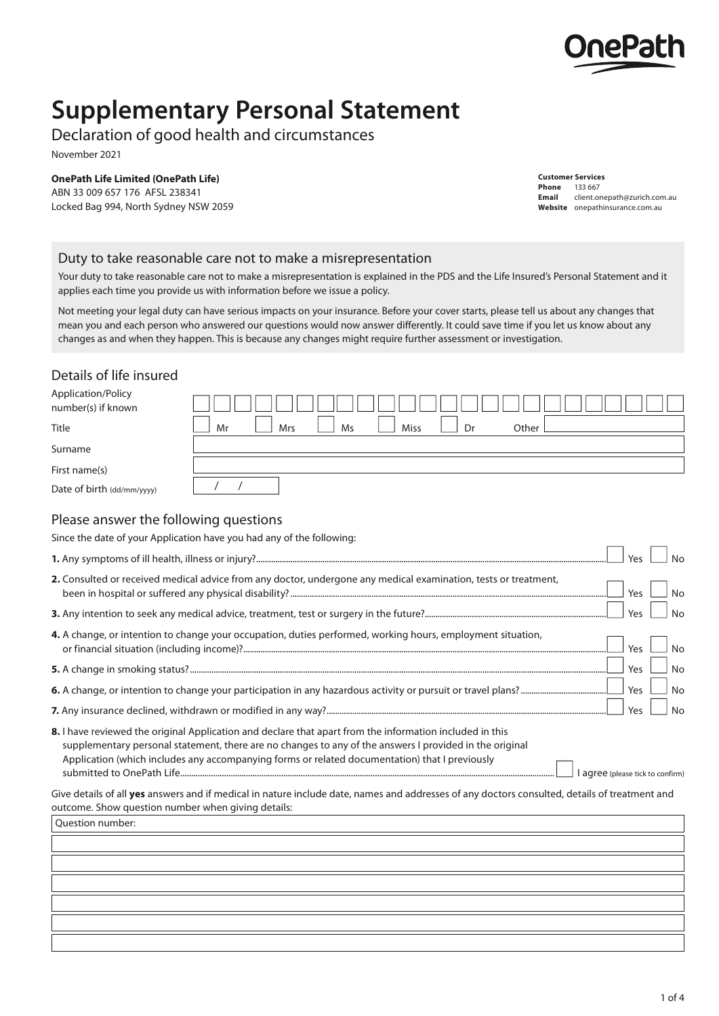

# **Supplementary Personal Statement**

# Declaration of good health and circumstances

November 2021

#### **OnePath Life Limited (OnePath Life)**

ABN 33 009 657 176 AFSL 238341 Locked Bag 994, North Sydney NSW 2059

#### **Customer Services Phone** 133 667<br>**Email** client.or

**Email** client.onepath@zurich.com.au **Website** [onepathinsurance.com.au](http://onepathinsurance.com.au)

#### Duty to take reasonable care not to make a misrepresentation

Your duty to take reasonable care not to make a misrepresentation is explained in the PDS and the Life Insured's Personal Statement and it applies each time you provide us with information before we issue a policy.

Not meeting your legal duty can have serious impacts on your insurance. Before your cover starts, please tell us about any changes that mean you and each person who answered our questions would now answer differently. It could save time if you let us know about any changes as and when they happen. This is because any changes might require further assessment or investigation.

### Details of life insured

| Application/Policy<br>number(s) if known |                                                      |
|------------------------------------------|------------------------------------------------------|
| Title                                    | Other<br>Dr<br><b>Miss</b><br><b>Mrs</b><br>Ms<br>Mr |
| Surname                                  |                                                      |
| First name(s)                            |                                                      |
| Date of birth (dd/mm/yyyy)               |                                                      |

# Please answer the following questions

| Since the date of your Application have you had any of the following:                                                                                                                                                                                                                                                                                   |
|---------------------------------------------------------------------------------------------------------------------------------------------------------------------------------------------------------------------------------------------------------------------------------------------------------------------------------------------------------|
| <b>No</b><br>Yes                                                                                                                                                                                                                                                                                                                                        |
| 2. Consulted or received medical advice from any doctor, undergone any medical examination, tests or treatment,<br>Yes<br><b>No</b>                                                                                                                                                                                                                     |
| Yes<br><b>No</b>                                                                                                                                                                                                                                                                                                                                        |
| 4. A change, or intention to change your occupation, duties performed, working hours, employment situation,<br>Yes<br><b>No</b>                                                                                                                                                                                                                         |
| Yes<br><b>No</b>                                                                                                                                                                                                                                                                                                                                        |
| Yes<br><b>No</b>                                                                                                                                                                                                                                                                                                                                        |
| Yes<br><b>No</b>                                                                                                                                                                                                                                                                                                                                        |
| 8. I have reviewed the original Application and declare that apart from the information included in this<br>supplementary personal statement, there are no changes to any of the answers I provided in the original<br>Application (which includes any accompanying forms or related documentation) that I previously<br>agree (please tick to confirm) |
| Give details of all yes answers and if medical in nature include date, names and addresses of any doctors consulted, details of treatment and<br>outcome. Show question number when giving details:                                                                                                                                                     |
| Question number:                                                                                                                                                                                                                                                                                                                                        |
|                                                                                                                                                                                                                                                                                                                                                         |
|                                                                                                                                                                                                                                                                                                                                                         |
|                                                                                                                                                                                                                                                                                                                                                         |
|                                                                                                                                                                                                                                                                                                                                                         |
|                                                                                                                                                                                                                                                                                                                                                         |
|                                                                                                                                                                                                                                                                                                                                                         |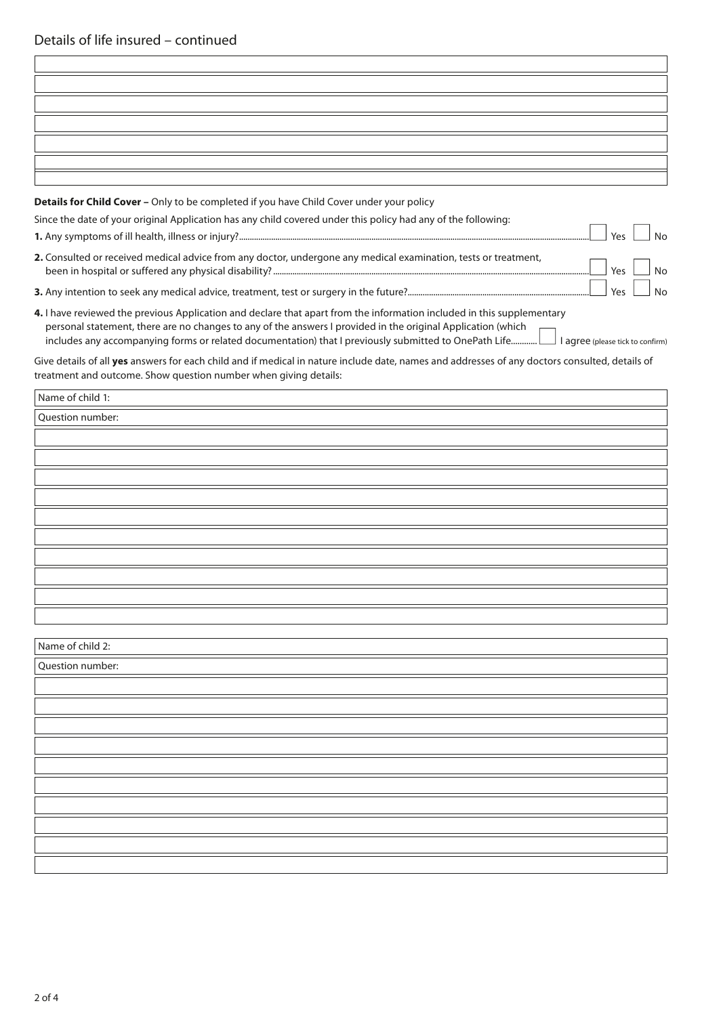| Details for Child Cover - Only to be completed if you have Child Cover under your policy                                                                                                                                               |
|----------------------------------------------------------------------------------------------------------------------------------------------------------------------------------------------------------------------------------------|
| Since the date of your original Application has any child covered under this policy had any of the following:<br>Yes<br><b>No</b>                                                                                                      |
| 2. Consulted or received medical advice from any doctor, undergone any medical examination, tests or treatment,<br>Yes<br>No                                                                                                           |
| Yes<br>No                                                                                                                                                                                                                              |
| 4. I have reviewed the previous Application and declare that apart from the information included in this supplementary<br>personal statement, there are no changes to any of the answers I provided in the original Application (which |
| Give details of all yes answers for each child and if medical in nature include date, names and addresses of any doctors consulted, details of<br>treatment and outcome. Show question number when giving details:                     |
| Name of child 1:                                                                                                                                                                                                                       |
| Question number:                                                                                                                                                                                                                       |
|                                                                                                                                                                                                                                        |
|                                                                                                                                                                                                                                        |
|                                                                                                                                                                                                                                        |
|                                                                                                                                                                                                                                        |
|                                                                                                                                                                                                                                        |
|                                                                                                                                                                                                                                        |
|                                                                                                                                                                                                                                        |
|                                                                                                                                                                                                                                        |
|                                                                                                                                                                                                                                        |
|                                                                                                                                                                                                                                        |
| Name of child 2:                                                                                                                                                                                                                       |
| Question number:                                                                                                                                                                                                                       |
|                                                                                                                                                                                                                                        |
|                                                                                                                                                                                                                                        |
|                                                                                                                                                                                                                                        |
|                                                                                                                                                                                                                                        |
|                                                                                                                                                                                                                                        |
|                                                                                                                                                                                                                                        |
|                                                                                                                                                                                                                                        |
|                                                                                                                                                                                                                                        |
|                                                                                                                                                                                                                                        |
|                                                                                                                                                                                                                                        |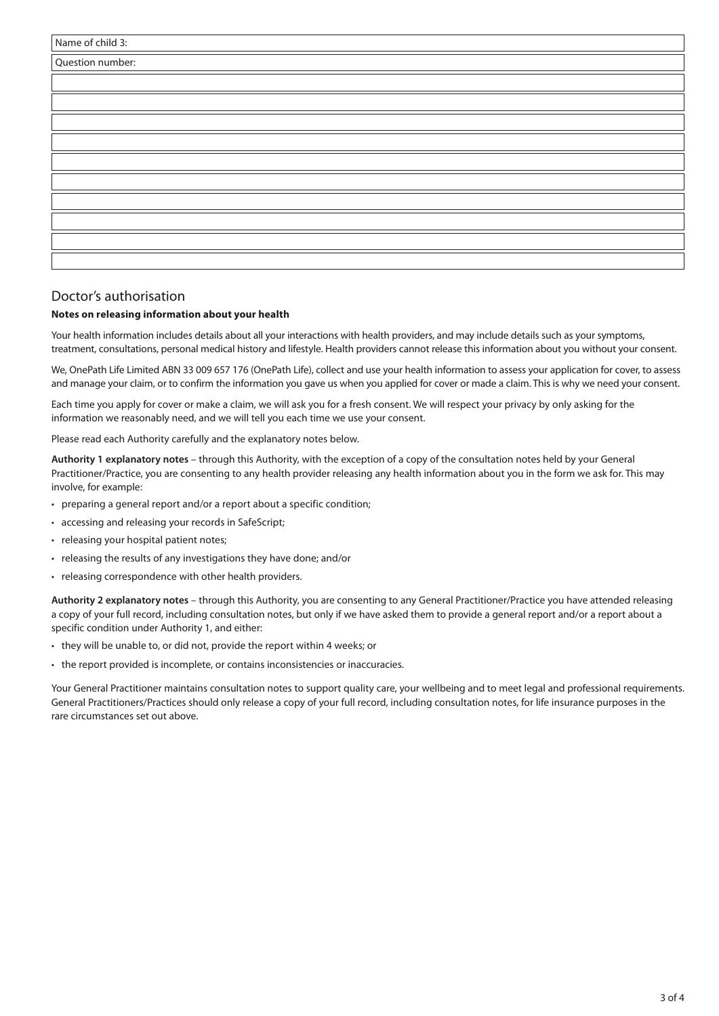| Name of child 3: |  |
|------------------|--|
| Question number: |  |
|                  |  |
|                  |  |
|                  |  |
|                  |  |
|                  |  |
|                  |  |
|                  |  |
|                  |  |
|                  |  |
|                  |  |

#### Doctor's authorisation

#### **Notes on releasing information about your health**

Your health information includes details about all your interactions with health providers, and may include details such as your symptoms, treatment, consultations, personal medical history and lifestyle. Health providers cannot release this information about you without your consent.

We, OnePath Life Limited ABN 33 009 657 176 (OnePath Life), collect and use your health information to assess your application for cover, to assess and manage your claim, or to confirm the information you gave us when you applied for cover or made a claim. This is why we need your consent.

Each time you apply for cover or make a claim, we will ask you for a fresh consent. We will respect your privacy by only asking for the information we reasonably need, and we will tell you each time we use your consent.

Please read each Authority carefully and the explanatory notes below.

**Authority 1 explanatory notes** – through this Authority, with the exception of a copy of the consultation notes held by your General Practitioner/Practice, you are consenting to any health provider releasing any health information about you in the form we ask for. This may involve, for example:

- preparing a general report and/or a report about a specific condition;
- accessing and releasing your records in SafeScript;
- releasing your hospital patient notes;
- releasing the results of any investigations they have done; and/or
- releasing correspondence with other health providers.

**Authority 2 explanatory notes** – through this Authority, you are consenting to any General Practitioner/Practice you have attended releasing a copy of your full record, including consultation notes, but only if we have asked them to provide a general report and/or a report about a specific condition under Authority 1, and either:

- they will be unable to, or did not, provide the report within 4 weeks; or
- the report provided is incomplete, or contains inconsistencies or inaccuracies.

Your General Practitioner maintains consultation notes to support quality care, your wellbeing and to meet legal and professional requirements. General Practitioners/Practices should only release a copy of your full record, including consultation notes, for life insurance purposes in the rare circumstances set out above.